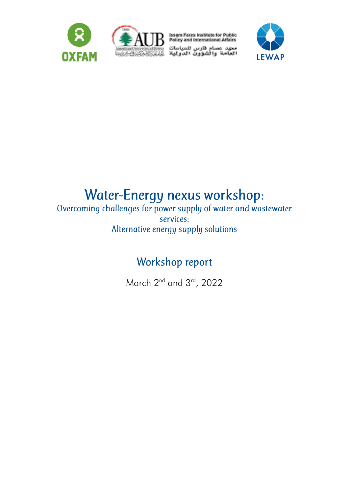



Issam Fares Institute for Public<br>Policy and International Affairs

معهد عصام فارس للسياسات<br>العامة والشؤون الدولية



# Water-Energy nexus workshop:<br>Overcoming challenges for power supply of water and wastewater

services: Alternative energy supply solutions

# Workshop report

March 2<sup>nd</sup> and 3<sup>rd</sup>, 2022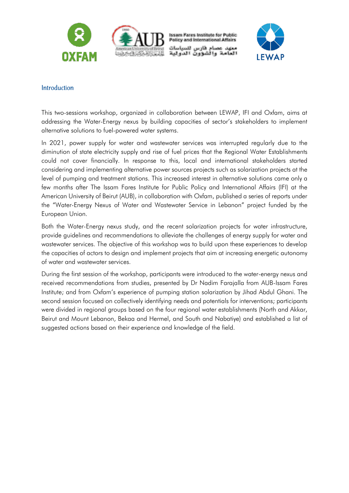

**Issam Fares Institute for Public Policy and International Affairs** معهد عصام فارس للسياسات شوون الدولية



#### Introduction

This two-sessions workshop, organized in collaboration between LEWAP, IFI and Oxfam, aims at addressing the Water-Energy nexus by building capacities of sector's stakeholders to implement alternative solutions to fuel-powered water systems.

In 2021, power supply for water and wastewater services was interrupted regularly due to the diminution of state electricity supply and rise of fuel prices that the Regional Water Establishments could not cover financially. In response to this, local and international stakeholders started considering and implementing alternative power sources projects such as solarization projects at the level of pumping and treatment stations. This increased interest in alternative solutions came only a few months after The Issam Fares Institute for Public Policy and International Affairs (IFI) at the American University of Beirut (AUB), in collaboration with Oxfam, published a series of reports under the "Water-Energy Nexus of Water and Wastewater Service in Lebanon" project funded by the European Union.

Both the Water-Energy nexus study, and the recent solarization projects for water infrastructure, provide guidelines and recommendations to alleviate the challenges of energy supply for water and wastewater services. The objective of this workshop was to build upon these experiences to develop the capacities of actors to design and implement projects that aim at increasing energetic autonomy of water and wastewater services.

During the first session of the workshop, participants were introduced to the water-energy nexus and received recommendations from studies, presented by Dr Nadim Farajalla from AUB-Issam Fares Institute; and from Oxfam's experience of pumping station solarization by Jihad Abdul Ghani. The second session focused on collectively identifying needs and potentials for interventions; participants were divided in regional groups based on the four regional water establishments (North and Akkar, Beirut and Mount Lebanon, Bekaa and Hermel, and South and Nabatiye) and established a list of suggested actions based on their experience and knowledge of the field.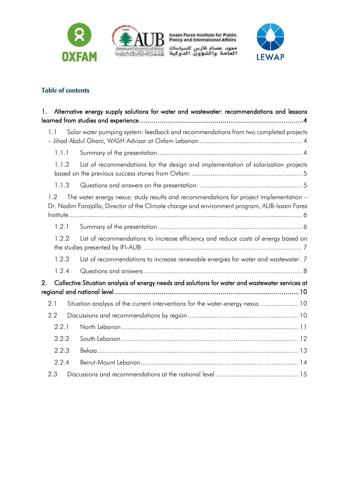



Issam Fares Institute for Public<br>Policy and International Affairs معهد عصام فارس للسياسات<br>العامة والشؤون الدولية



# **Table of contents**

| 1.    | Alternative energy supply solutions for water and wastewater: recommendations and lessons                                                                                              |
|-------|----------------------------------------------------------------------------------------------------------------------------------------------------------------------------------------|
| 1.1   | Solar water pumping system: feedback and recommendations from two completed projects                                                                                                   |
| 1.1.1 |                                                                                                                                                                                        |
| 1.1.2 | List of recommendations for the design and implementation of solarization projects                                                                                                     |
| 1.1.3 |                                                                                                                                                                                        |
| 1.2   | The water energy nexus: study results and recommendations for project implementation -<br>Dr. Nadim Farajalla, Director of the Climate change and environment program, AUB-Issam Fares |
| 1.2.1 |                                                                                                                                                                                        |
| 1.2.2 | List of recommendations to increase efficiency and reduce costs of energy based on                                                                                                     |
| 1.2.3 | List of recommendations to increase renewable energies for water and wastewater. 7                                                                                                     |
| 1.2.4 |                                                                                                                                                                                        |
| 2.    | Collective Situation analysis of energy needs and solutions for water and wastewater services at                                                                                       |
| 2.1   | Situation analysis of the current interventions for the water-energy nexus  10                                                                                                         |
| 2.2   |                                                                                                                                                                                        |
| 2.2.1 |                                                                                                                                                                                        |
| 2.2.2 |                                                                                                                                                                                        |
| 2.2.3 |                                                                                                                                                                                        |
| 2.2.4 |                                                                                                                                                                                        |
| 2.3   |                                                                                                                                                                                        |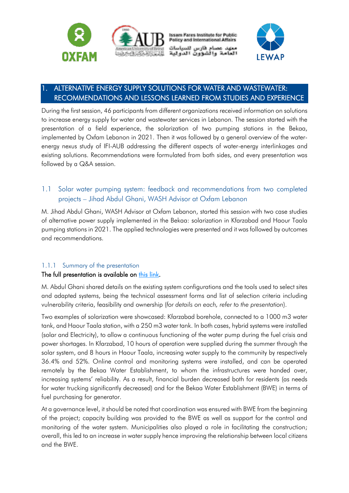

**Issam Fares Institute for Public Policy and International Affairs** معهد عصام فارس للسياسات والشوون الدولية



# <span id="page-3-0"></span>1. ALTERNATIVE ENERGY SUPPLY SOLUTIONS FOR WATER AND WASTEWATER: RECOMMENDATIONS AND LESSONS LEARNED FROM STUDIES AND EXPERIENCE

During the first session, 46 participants from different organizations received information on solutions to increase energy supply for water and wastewater services in Lebanon. The session started with the presentation of a field experience, the solarization of two pumping stations in the Bekaa, implemented by Oxfam Lebanon in 2021. Then it was followed by a general overview of the waterenergy nexus study of IFI-AUB addressing the different aspects of water-energy interlinkages and existing solutions. Recommendations were formulated from both sides, and every presentation was followed by a Q&A session.

# <span id="page-3-1"></span>1.1 Solar water pumping system: feedback and recommendations from two completed projects – Jihad Abdul Ghani, WASH Advisor at Oxfam Lebanon

M. Jihad Abdul Ghani, WASH Advisor at Oxfam Lebanon, started this session with two case studies of alternative power supply implemented in the Bekaa: solarization in Kfarzabad and Haour Taala pumping stations in 2021. The applied technologies were presented and it was followed by outcomes and recommendations.

## <span id="page-3-2"></span>1.1.1 Summary of the presentation

#### The full presentation is available on [this link.](https://www.pseau.org/outils/ouvrages/lewap_oxfam_solar_water_pumping_systems_water_energy_workshop_presentation_2022.pdf)

M. Abdul Ghani shared details on the existing system configurations and the tools used to select sites and adapted systems, being the technical assessment forms and list of selection criteria including vulnerability criteria, feasibility and ownership (*for details on each, refer to the presentation*).

Two examples of solarization were showcased: Kfarzabad borehole, connected to a 1000 m3 water tank, and Haour Taala station, with a 250 m3 water tank. In both cases, hybrid systems were installed (solar and Electricity), to allow a continuous functioning of the water pump during the fuel crisis and power shortages. In Kfarzabad, 10 hours of operation were supplied during the summer through the solar system, and 8 hours in Haour Taala, increasing water supply to the community by respectively 36.4% and 52%. Online control and monitoring systems were installed, and can be operated remotely by the Bekaa Water Establishment, to whom the infrastructures were handed over, increasing systems' reliability. As a result, financial burden decreased both for residents (as needs for water trucking significantly decreased) and for the Bekaa Water Establishment (BWE) in terms of fuel purchasing for generator.

At a governance level, it should be noted that coordination was ensured with BWE from the beginning of the project; capacity building was provided to the BWE as well as support for the control and monitoring of the water system. Municipalities also played a role in facilitating the construction; overall, this led to an increase in water supply hence improving the relationship between local citizens and the BWE.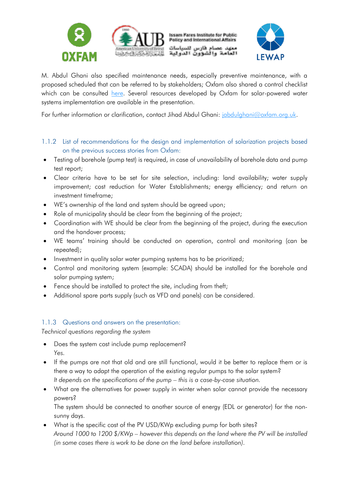



M. Abdul Ghani also specified maintenance needs, especially preventive maintenance, with a proposed scheduled that can be referred to by stakeholders; Oxfam also shared a control checklist which can be consulted [here.](https://www.oxfamwash.org/en/water/solar-pumping/Installation-Control-Checklist-vf-1.pdf) Several resources developed by Oxfam for solar-powered water systems implementation are available in the presentation.

For further information or clarification, contact Jihad Abdul Ghani: [jabdulghani@oxfam.org.uk.](mailto:jabdulghani@oxfam.org.uk)

- <span id="page-4-0"></span>1.1.2 List of recommendations for the design and implementation of solarization projects based on the previous success stories from Oxfam:
- Testing of borehole (pump test) is required, in case of unavailability of borehole data and pump test report;
- Clear criteria have to be set for site selection, including: land availability; water supply improvement; cost reduction for Water Establishments; energy efficiency; and return on investment timeframe;
- WE's ownership of the land and system should be agreed upon;
- Role of municipality should be clear from the beginning of the project;
- Coordination with WE should be clear from the beginning of the project, during the execution and the handover process;
- WE teams' training should be conducted on operation, control and monitoring (can be repeated);
- Investment in quality solar water pumping systems has to be prioritized;
- Control and monitoring system (example: SCADA) should be installed for the borehole and solar pumping system;
- Fence should be installed to protect the site, including from theft;
- Additional spare parts supply (such as VFD and panels) can be considered.

#### <span id="page-4-1"></span>1.1.3 Questions and answers on the presentation:

*Technical questions regarding the system*

- Does the system cost include pump replacement? *Yes.*
- If the pumps are not that old and are still functional, would it be better to replace them or is there a way to adapt the operation of the existing regular pumps to the solar system? *It depends on the specifications of the pump – this is a case-by-case situation.*
- What are the alternatives for power supply in winter when solar cannot provide the necessary powers?

The system should be connected to another source of energy (EDL or generator) for the nonsunny days.

• What is the specific cost of the PV USD/KWp excluding pump for both sites? *Around 1000 to 1200 \$/KWp – however this depends on the land where the PV will be installed (in some cases there is work to be done on the land before installation).*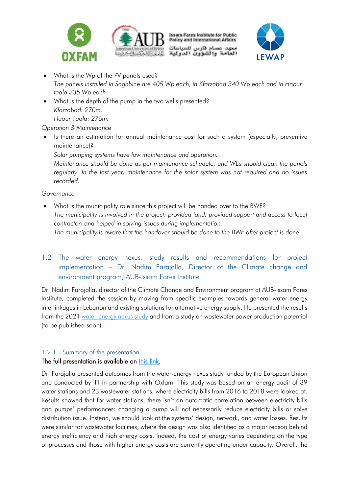



**Issam Fares Institute for Public Policy and International Affairs** معهد عصام فارس للسياسات<br>نفست

والشوون الدولية



- What is the Wp of the PV panels used? *The panels installed in Saghbine are 405 Wp each, in Kfarzabad 340 Wp each and in Haour taala 335 Wp each.*
- What is the depth of the pump in the two wells presented? *Kfarzabad: 270m. Haour Taala: 276m.*

#### *Operation & Maintenance*

 Is there an estimation for annual maintenance cost for such a system (especially, preventive maintenance)?

*Solar pumping systems have low maintenance and operation.*

*Maintenance should be done as per maintenance schedule, and WEs should clean the panels regularly. In the last year, maintenance for the solar system was not required and no issues recorded.*

#### *Governance*

 What is the municipality role since this project will be handed over to the BWE? *The municipality is involved in the project; provided land, provided support and access to local contractor; and helped in solving issues during implementation. The municipality is aware that the handover should be done to the BWE after project is done*.

# <span id="page-5-0"></span>1.2 The water energy nexus: study results and recommendations for project implementation – Dr. Nadim Farajalla, Director of the Climate change and environment program, AUB-Issam Fares Institute

Dr. Nadim Farajalla, director of the Climate Change and Environment program at AUB-Issam Fares Institute, completed the session by moving from specific examples towards general water-energy interlinkages in Lebanon and existing solutions for alternative energy supply. He presented the results from the 2021 [water-energy nexus study](https://www.aub.edu.lb/ifi/Pages/energy-policy-and-security/Projects/water-energy-nexus-of-water-and-wastewater-service-in-lebanon.aspx) and from a study on wastewater power production potential (to be published soon).

#### <span id="page-5-1"></span>1.2.1 Summary of the presentation

#### The full presentation is available on [this link.](https://www.pseau.org/outils/ouvrages/ifi_lewap_water_energy_nexus_in_lebanon_workshop_presentation_2022.pdf)

Dr. Farajalla presented outcomes from the water-energy nexus study funded by the European Union and conducted by IFI in partnership with Oxfam. This study was based on an energy audit of 39 water stations and 23 wastewater stations, where electricity bills from 2016 to 2018 were looked at. Results showed that for water stations, there isn't an automatic correlation between electricity bills and pumps' performances: changing a pump will not necessarily reduce electricity bills or solve distribution issue. Instead, we should look at the systems' design, network, and water losses. Results were similar for wastewater facilities, where the design was also identified as a major reason behind energy inefficiency and high energy costs. Indeed, the cost of energy varies depending on the type of processes and those with higher energy costs are currently operating under capacity. Overall, the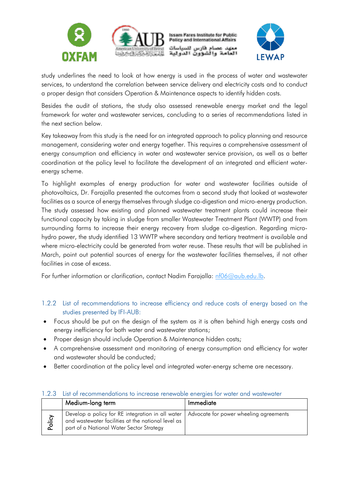

study underlines the need to look at how energy is used in the process of water and wastewater services, to understand the correlation between service delivery and electricity costs and to conduct a proper design that considers Operation & Maintenance aspects to identify hidden costs.

Besides the audit of stations, the study also assessed renewable energy market and the legal framework for water and wastewater services, concluding to a series of recommendations listed in the next section below.

Key takeaway from this study is the need for an integrated approach to policy planning and resource management, considering water and energy together. This requires a comprehensive assessment of energy consumption and efficiency in water and wastewater service provision, as well as a better coordination at the policy level to facilitate the development of an integrated and efficient waterenergy scheme.

To highlight examples of energy production for water and wastewater facilities outside of photovoltaics, Dr. Farajalla presented the outcomes from a second study that looked at wastewater facilities as a source of energy themselves through sludge co-digestion and micro-energy production. The study assessed how existing and planned wastewater treatment plants could increase their functional capacity by taking in sludge from smaller Wastewater Treatment Plant (WWTP) and from surrounding farms to increase their energy recovery from sludge co-digestion. Regarding microhydro power, the study identified 13 WWTP where secondary and tertiary treatment is available and where micro-electricity could be generated from water reuse. These results that will be published in March, point out potential sources of energy for the wastewater facilities themselves, if not other facilities in case of excess.

For further information or clarification, contact Nadim Farajalla: [nf06@aub.edu.lb.](mailto:nf06@aub.edu.lb)

#### <span id="page-6-0"></span>1.2.2 List of recommendations to increase efficiency and reduce costs of energy based on the studies presented by IFI-AUB:

- Focus should be put on the design of the system as it is often behind high energy costs and energy inefficiency for both water and wastewater stations;
- Proper design should include Operation & Maintenance hidden costs;
- A comprehensive assessment and monitoring of energy consumption and efficiency for water and wastewater should be conducted;
- Better coordination at the policy level and integrated water-energy scheme are necessary.

|        | Medium-long term                                                                                                                                                                            | Immediate |
|--------|---------------------------------------------------------------------------------------------------------------------------------------------------------------------------------------------|-----------|
| Policy | Develop a policy for RE integration in all water   Advocate for power wheeling agreements<br>and wastewater facilities at the national level as<br>part of a National Water Sector Strategy |           |

#### <span id="page-6-1"></span>1.2.3 List of recommendations to increase renewable energies for water and wastewater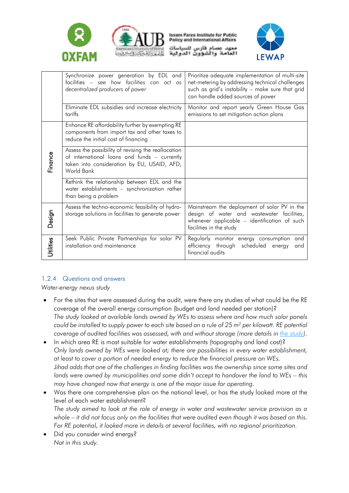



**Issam Fares Institute for Public Policy and International Affairs** 

معهد عصام فارس للسياسات والشوون الدولية



|           | Synchronize power generation by EDL and<br>facilities - see how facilities can act as<br>decentralized producers of power                                        | Prioritize adequate implementation of multi-site<br>net-metering by addressing technical challenges<br>such as grid's instability - make sure that grid<br>can handle added sources of power |
|-----------|------------------------------------------------------------------------------------------------------------------------------------------------------------------|----------------------------------------------------------------------------------------------------------------------------------------------------------------------------------------------|
|           | Eliminate EDL subsidies and increase electricity<br>tariffs                                                                                                      | Monitor and report yearly Green House Gas<br>emissions to set mitigation action plans                                                                                                        |
|           | Enhance RE affordability further by exempting RE<br>components from import tax and other taxes to<br>reduce the initial cost of financing                        |                                                                                                                                                                                              |
| Finance   | Assess the possibility of revising the reallocation<br>of international loans and funds - currently<br>taken into consideration by EU, USAID, AFD,<br>World Bank |                                                                                                                                                                                              |
|           | Rethink the relationship between EDL and the<br>water establishments - synchronization rather<br>than being a problem                                            |                                                                                                                                                                                              |
| Design    | Assess the techno-economic feasibility of hydro-<br>storage solutions in facilities to generate power                                                            | Mainstream the deployment of solar PV in the<br>design of water and wastewater facilities,<br>whenever applicable - identification of such<br>facilities in the study                        |
| Utilities | Seek Public Private Partnerships for solar PV<br>installation and maintenance                                                                                    | Regularly monitor energy consumption<br>and<br>efficiency<br>through scheduled<br>energy<br>and<br>financial audits                                                                          |

## <span id="page-7-0"></span>1.2.4 Questions and answers

*Water-energy nexus study*

- For the sites that were assessed during the audit, were there any studies of what could be the RE coverage of the overall energy consumption (budget and land needed per station)? *The study looked at available lands owned by WEs to assess where and how much solar panels could be installed to supply power to each site based on a rule of 25 m² per kilowatt. RE potential coverage of audited facilities was assessed, with and without storage (more details in [the study\)](https://www.aub.edu.lb/ifi/Pages/energy-policy-and-security/Projects/water-energy-nexus-of-water-and-wastewater-service-in-lebanon.aspx)*.
- In which area RE is most suitable for water establishments (topography and land cost)? *Only lands owned by WEs were looked at; there are possibilities in every water establishment, at least to cover a portion of needed energy to reduce the financial pressure on WEs. Jihad adds that one of the challenges in finding facilities was the ownership since some sites and lands were owned by municipalities and some didn't accept to handover the land to WEs – this may have changed now that energy is one of the major issue for operating.*
- Was there one comprehensive plan on the national level, or has the study looked more at the level of each water establishment? *The study aimed to look at the role of energy in water and wastewater service provision as a whole – it did not focus only on the facilities that were audited even though it was based on this. For RE potential, it looked more in details at several facilities, with no regional prioritization.*
- Did you consider wind energy? *Not in this study.*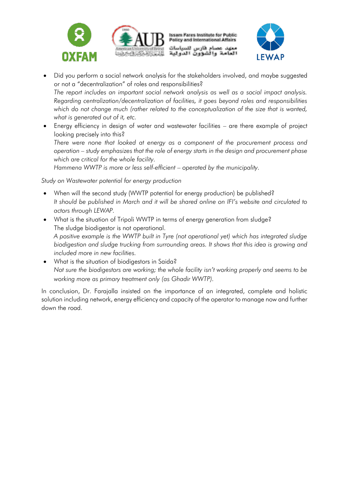



- Did you perform a social network analysis for the stakeholders involved, and maybe suggested or not a "decentralization" of roles and responsibilities? *The report includes an important social network analysis as well as a social impact analysis. Regarding centralization/decentralization of facilities, it goes beyond roles and responsibilities which do not change much (rather related to the conceptualization of the size that is wanted, what is generated out of it, etc.*
- Energy efficiency in design of water and wastewater facilities are there example of project looking precisely into this? *There were none that looked at energy as a component of the procurement process and operation – study emphasizes that the role of energy starts in the design and procurement phase which are critical for the whole facility.*

*Hammena WWTP is more or less self-efficient – operated by the municipality.*

*Study on Wastewater potential for energy production*

- When will the second study (WWTP potential for energy production) be published? *It should be published in March and it will be shared online on IFI's website and circulated to actors through LEWAP.*
- What is the situation of Tripoli WWTP in terms of energy generation from sludge? The sludge biodigestor is not operational. *A positive example is the WWTP built in Tyre (not operational yet) which has integrated sludge biodigestion and sludge trucking from surrounding areas. It shows that this idea is growing and included more in new facilities.*
- What is the situation of biodigestors in Saida? *Not sure the biodigestors are working; the whole facility isn't working properly and seems to be working more as primary treatment only (as Ghadir WWTP).*

In conclusion, Dr. Farajalla insisted on the importance of an integrated, complete and holistic solution including network, energy efficiency and capacity of the operator to manage now and further down the road.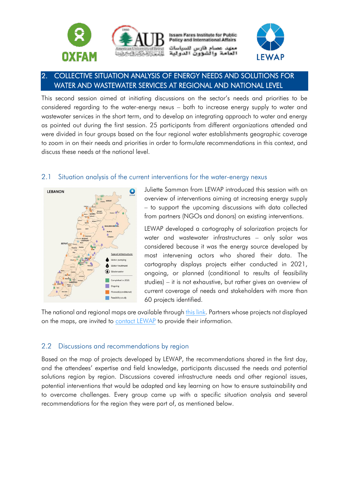

**Issam Fares Institute for Public Policy and International Affairs** عصام فارس للسياسات شوون الدولية



# <span id="page-9-0"></span>2. COLLECTIVE SITUATION ANALYSIS OF ENERGY NEEDS AND SOLUTIONS FOR WATER AND WASTEWATER SERVICES AT REGIONAL AND NATIONAL LEVEL

This second session aimed at initiating discussions on the sector's needs and priorities to be considered regarding to the water-energy nexus – both to increase energy supply to water and wastewater services in the short term, and to develop an integrating approach to water and energy as pointed out during the first session. 25 participants from different organizations attended and were divided in four groups based on the four regional water establishments geographic coverage to zoom in on their needs and priorities in order to formulate recommendations in this context, and discuss these needs at the national level.

#### <span id="page-9-1"></span>2.1 Situation analysis of the current interventions for the water-energy nexus



Juliette Samman from LEWAP introduced this session with an overview of interventions aiming at increasing energy supply – to support the upcoming discussions with data collected from partners (NGOs and donors) on existing interventions.

LEWAP developed a cartography of solarization projects for water and wastewater infrastructures – only solar was considered because it was the energy source developed by most intervening actors who shared their data. The cartography displays projects either conducted in 2021, ongoing, or planned (conditional to results of feasibility studies) – it is not exhaustive, but rather gives an overview of current coverage of needs and stakeholders with more than 60 projects identified.

The national and regional maps are available through [this link.](https://www.pseau.org/outils/ouvrages/lewap_cartography_of_solar_projects_for_water_and_wastewater_infrastructures_in_lebanon_2022.pdf) Partners whose projects not displayed on the maps, are invited to [contact LEWAP](mailto:contact@lewap.org) to provide their information.

#### <span id="page-9-2"></span>2.2 Discussions and recommendations by region

Based on the map of projects developed by LEWAP, the recommendations shared in the first day, and the attendees' expertise and field knowledge, participants discussed the needs and potential solutions region by region. Discussions covered infrastructure needs and other regional issues, potential interventions that would be adapted and key learning on how to ensure sustainability and to overcome challenges. Every group came up with a specific situation analysis and several recommendations for the region they were part of, as mentioned below.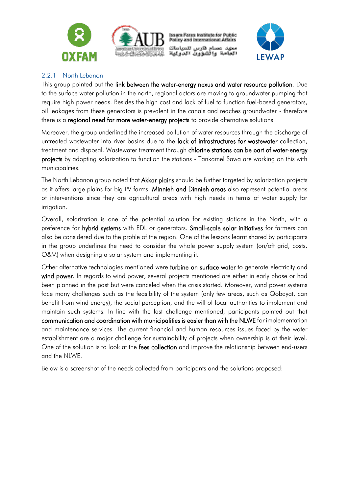

**Issam Fares Institute for Public Policy and International Affairs** معهد عصام فارس للسياسات والشوون الدولية



#### <span id="page-10-0"></span>2.2.1 North Lebanon

This group pointed out the link between the water-energy nexus and water resource pollution. Due to the surface water pollution in the north, regional actors are moving to groundwater pumping that require high power needs. Besides the high cost and lack of fuel to function fuel-based generators, oil leakages from these generators is prevalent in the canals and reaches groundwater - therefore there is a regional need for more water-energy projects to provide alternative solutions.

Moreover, the group underlined the increased pollution of water resources through the discharge of untreated wastewater into river basins due to the lack of infrastructures for wastewater collection, treatment and disposal. Wastewater treatment through chlorine stations can be part of water-energy projects by adopting solarization to function the stations - Tankamel Sawa are working on this with municipalities.

The North Lebanon group noted that Akkar plains should be further targeted by solarization projects as it offers large plains for big PV farms. Minnieh and Dinnieh areas also represent potential areas of interventions since they are agricultural areas with high needs in terms of water supply for irrigation.

Overall, solarization is one of the potential solution for existing stations in the North, with a preference for hybrid systems with EDL or generators. Small-scale solar initiatives for farmers can also be considered due to the profile of the region. One of the lessons learnt shared by participants in the group underlines the need to consider the whole power supply system (on/off grid, costs, O&M) when designing a solar system and implementing it.

Other alternative technologies mentioned were turbine on surface water to generate electricity and wind power. In regards to wind power, several projects mentioned are either in early phase or had been planned in the past but were canceled when the crisis started. Moreover, wind power systems face many challenges such as the feasibility of the system (only few areas, such as Qobayat, can benefit from wind energy), the social perception, and the will of local authorities to implement and maintain such systems. In line with the last challenge mentioned, participants pointed out that communication and coordination with municipalities is easier than with the NLWE for implementation and maintenance services. The current financial and human resources issues faced by the water establishment are a major challenge for sustainability of projects when ownership is at their level. One of the solution is to look at the **fees collection** and improve the relationship between end-users and the NLWE.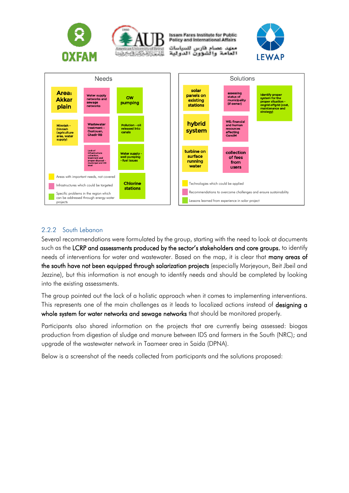

#### <span id="page-11-0"></span>2.2.2 South Lebanon

Several recommendations were formulated by the group, starting with the need to look at documents such as the LCRP and assessments produced by the sector's stakeholders and core groups, to identify needs of interventions for water and wastewater. Based on the map, it is clear that many areas of the south have not been equipped through solarization projects (especially Marjeyoun, Beit Jbeil and Jezzine), but this information is not enough to identify needs and should be completed by looking into the existing assessments.

The group pointed out the lack of a holistic approach when it comes to implementing interventions. This represents one of the main challenges as it leads to localized actions instead of **designing a** whole system for water networks and sewage networks that should be monitored properly.

Participants also shared information on the projects that are currently being assessed: biogas production from digestion of sludge and manure between IDS and farmers in the South (NRC); and upgrade of the wastewater network in Taameer area in Saida (DPNA).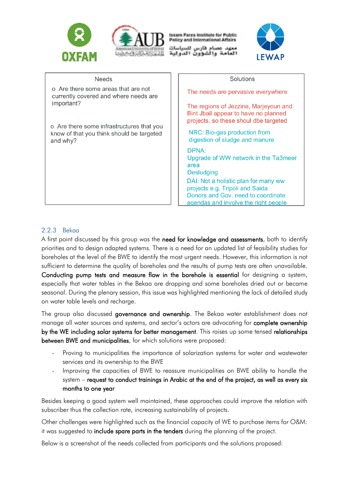



**Issam Fares Institute for Public Policy and International Affairs** 

معهد عصام فارس للسياسات والشوون الدولية



| <b>Needs</b>                                                                 | Solutions                                                                                                                                                                                                                           |
|------------------------------------------------------------------------------|-------------------------------------------------------------------------------------------------------------------------------------------------------------------------------------------------------------------------------------|
| o Are there some areas that are not<br>currently covered and where needs are | The needs are pervasive everywhere                                                                                                                                                                                                  |
| important?<br>o Are there some infrastructures that you                      | The regions of Jezzine, Marjeyoun and<br>Bint Jbail appear to have no planned<br>projects, so these shoul dbe targeted                                                                                                              |
| know of that you think should be targeted<br>and why?                        | NRC: Bio-gas production from<br>digestion of sludge and manure                                                                                                                                                                      |
|                                                                              | DPNA:<br>Upgrade of WW network in the Ta3meer<br>area<br><b>Desludging</b><br>DAI: Not a holistic plan for many ww<br>projects e.g. Tripoli and Saida<br>Donors and Gov. need to coordinate<br>agendas and involve the right people |

#### <span id="page-12-0"></span>2.2.3 Bekaa

A first point discussed by this group was the need for knowledge and assessments, both to identify priorities and to design adapted systems. There is a need for an updated list of feasibility studies for boreholes at the level of the BWE to identify the most urgent needs. However, this information is not sufficient to determine the quality of boreholes and the results of pump tests are often unavailable. Conducting pump tests and measure flow in the borehole is essential for designing a system, especially that water tables in the Bekaa are dropping and some boreholes dried out or became seasonal. During the plenary session, this issue was highlighted mentioning the lack of detailed study on water table levels and recharge.

The group also discussed governance and ownership. The Bekaa water establishment does not manage all water sources and systems, and sector's actors are advocating for complete ownership by the WE including solar systems for better management. This raises up some tensed relationships between BWE and municipalities, for which solutions were proposed:

- Proving to municipalities the importance of solarization systems for water and wastewater services and its ownership to the BWE
- Improving the capacities of BWE to reassure municipalities on BWE ability to handle the system – request to conduct trainings in Arabic at the end of the project, as well as every six months to one year

Besides keeping a good system well maintained, these approaches could improve the relation with subscriber thus the collection rate, increasing sustainability of projects.

Other challenges were highlighted such as the financial capacity of WE to purchase items for O&M: it was suggested to **include spare parts in the tenders** during the planning of the project.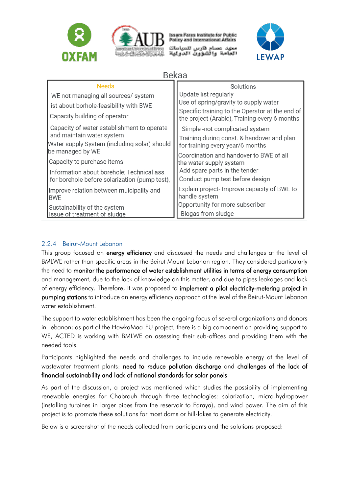



**Issam Fares Institute for Public Policy and International Affairs** 

مهد عصام فارس للسياسات والشوون الد



**Bekaa** 

| <b>Needs</b>                                                                                   | Solutions                                                                                                                                                          |
|------------------------------------------------------------------------------------------------|--------------------------------------------------------------------------------------------------------------------------------------------------------------------|
| WE not managing all sources/ system                                                            | Update list regularly<br>Use of spring/gravity to supply water<br>Specific training to the Operator at the end of<br>the project (Arabic), Training every 6 months |
| list about borhole-feasibility with BWE                                                        |                                                                                                                                                                    |
| Capacity building of operator                                                                  |                                                                                                                                                                    |
| Capacity of water establishment to operate                                                     | Simple-not complicated system                                                                                                                                      |
| and maintain water system                                                                      | Training during const. & handover and plan                                                                                                                         |
| Water supply System (including solar) should<br>be managed by WE<br>Capacity to purchase items | for training every year/6 months                                                                                                                                   |
|                                                                                                | Coordination and handover to BWE of all                                                                                                                            |
|                                                                                                | the water supply system                                                                                                                                            |
| Information about borehole; Technical ass.                                                     | Add spare parts in the tender                                                                                                                                      |
| for borehole before solarization (pump test),                                                  | Conduct pump test before design                                                                                                                                    |
| Improve relation between muicipality and<br><b>BWE</b>                                         | Explain project- Improve capacity of BWE to<br>handle system                                                                                                       |
| Sustainability of the system                                                                   | Opportunity for more subscriber                                                                                                                                    |
| Issue of treatment of sludge                                                                   | Biogas from sludge-                                                                                                                                                |

#### <span id="page-13-0"></span>2.2.4 Beirut-Mount Lebanon

This group focused on energy efficiency and discussed the needs and challenges at the level of BMLWE rather than specific areas in the Beirut Mount Lebanon region. They considered particularly the need to monitor the performance of water establishment utilities in terms of energy consumption and management, due to the lack of knowledge on this matter, and due to pipes leakages and lack of energy efficiency. Therefore, it was proposed to implement a pilot electricity-metering project in pumping stations to introduce an energy efficiency approach at the level of the Beirut-Mount Lebanon water establishment.

The support to water establishment has been the ongoing focus of several organizations and donors in Lebanon; as part of the HawkaMaa-EU project, there is a big component on providing support to WE, ACTED is working with BMLWE on assessing their sub-offices and providing them with the needed tools.

Participants highlighted the needs and challenges to include renewable energy at the level of wastewater treatment plants: need to reduce pollution discharge and challenges of the lack of financial sustainability and lack of national standards for solar panels.

As part of the discussion, a project was mentioned which studies the possibility of implementing renewable energies for Chabrouh through three technologies: solarization; micro-hydropower (installing turbines in larger pipes from the reservoir to Faraya), and wind power. The aim of this project is to promote these solutions for most dams or hill-lakes to generate electricity.